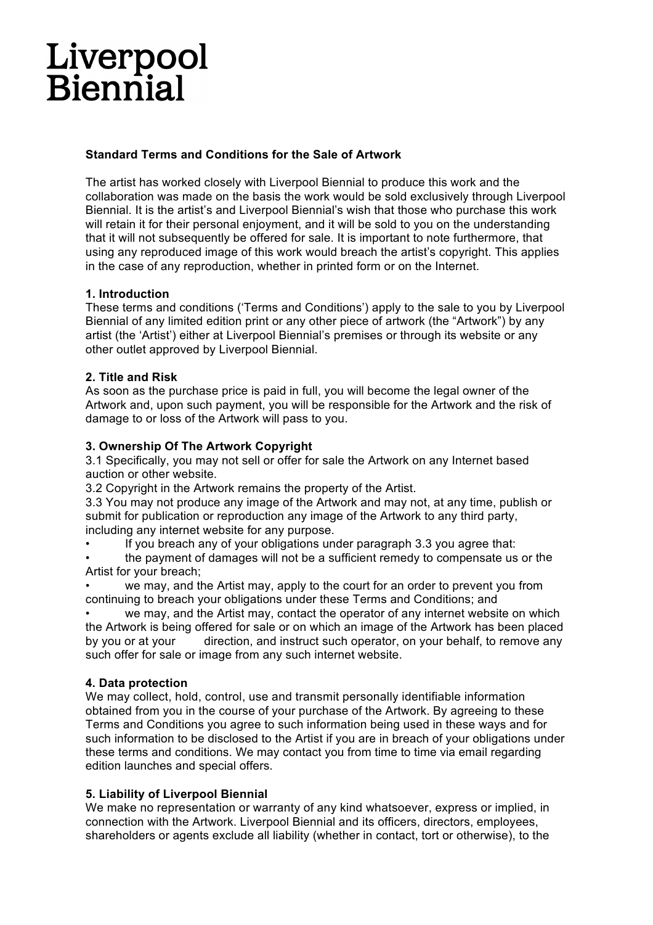# Liverpool<br>Biennial

### **Standard Terms and Conditions for the Sale of Artwork**

The artist has worked closely with Liverpool Biennial to produce this work and the collaboration was made on the basis the work would be sold exclusively through Liverpool Biennial. It is the artist's and Liverpool Biennial's wish that those who purchase this work will retain it for their personal enjoyment, and it will be sold to you on the understanding that it will not subsequently be offered for sale. It is important to note furthermore, that using any reproduced image of this work would breach the artist's copyright. This applies in the case of any reproduction, whether in printed form or on the Internet.

#### **1. Introduction**

These terms and conditions ('Terms and Conditions') apply to the sale to you by Liverpool Biennial of any limited edition print or any other piece of artwork (the "Artwork") by any artist (the 'Artist') either at Liverpool Biennial's premises or through its website or any other outlet approved by Liverpool Biennial.

## **2. Title and Risk**

As soon as the purchase price is paid in full, you will become the legal owner of the Artwork and, upon such payment, you will be responsible for the Artwork and the risk of damage to or loss of the Artwork will pass to you.

## **3. Ownership Of The Artwork Copyright**

3.1 Specifically, you may not sell or offer for sale the Artwork on any Internet based auction or other website.

3.2 Copyright in the Artwork remains the property of the Artist.

3.3 You may not produce any image of the Artwork and may not, at any time, publish or submit for publication or reproduction any image of the Artwork to any third party, including any internet website for any purpose.

If you breach any of your obligations under paragraph 3.3 you agree that:

• the payment of damages will not be a sufficient remedy to compensate us or the Artist for your breach;

we may, and the Artist may, apply to the court for an order to prevent you from continuing to breach your obligations under these Terms and Conditions; and

we may, and the Artist may, contact the operator of any internet website on which the Artwork is being offered for sale or on which an image of the Artwork has been placed by you or at your direction, and instruct such operator, on your behalf, to remove any such offer for sale or image from any such internet website.

#### **4. Data protection**

We may collect, hold, control, use and transmit personally identifiable information obtained from you in the course of your purchase of the Artwork. By agreeing to these Terms and Conditions you agree to such information being used in these ways and for such information to be disclosed to the Artist if you are in breach of your obligations under these terms and conditions. We may contact you from time to time via email regarding edition launches and special offers.

## **5. Liability of Liverpool Biennial**

We make no representation or warranty of any kind whatsoever, express or implied, in connection with the Artwork. Liverpool Biennial and its officers, directors, employees, shareholders or agents exclude all liability (whether in contact, tort or otherwise), to the